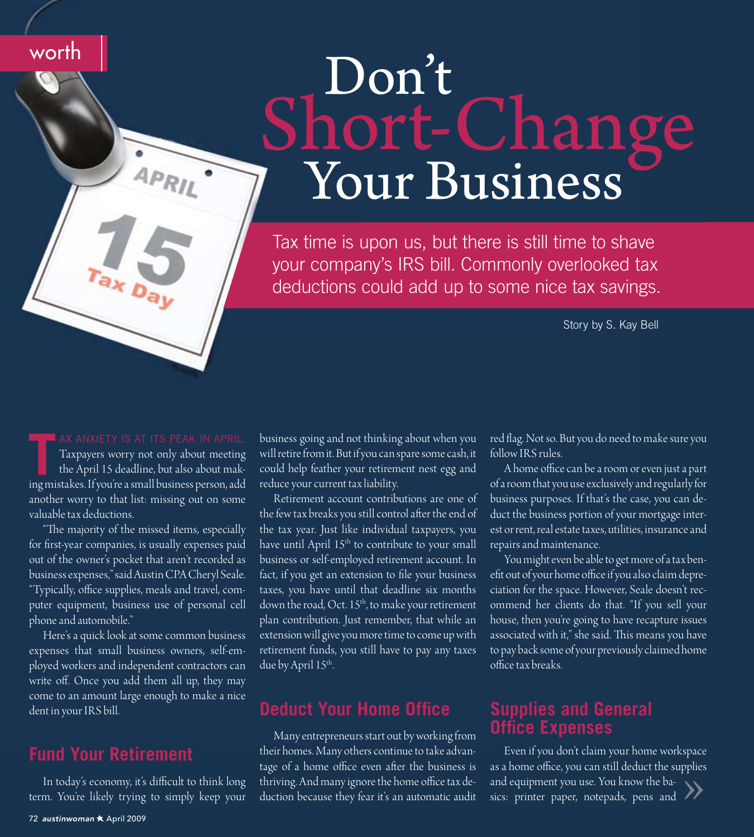# Don't Short-Change

Tax time is upon us, but there is still time to shave your company's IRS bill. Commonly overlooked tax deductions could add up to some nice tax savings.

Story by S. Kay Bell

Taxpayers worry not only about meeting the April 15 deadline, but also about making mistakes. If you're a small business person, add another worry to that list: missing out on some valuable tax deductions.

 $APRIL$ 

worth

"The majority of the missed items, especially for first-year companies, is usually expenses paid out of the owner's pocket that aren't recorded as business expenses," said Austin CPA Cheryl Seale. "Typically, office supplies, meals and travel, computer equipment, business use of personal cell phone and automobile."

Here's a quick look at some common business expenses that small business owners, self-employed workers and independent contractors can write off. Once you add them all up, they may come to an amount large enough to make a nice dent in your IRS bill.

# **Fund Your Retirement**

In today's economy, it's difficult to think long term. You're likely trying to simply keep your

business going and not thinking about when you will retire from it. But if you can spare some cash, it could help feather your retirement nest egg and reduce your current tax liability.

Retirement account contributions are one of the few tax breaks you still control after the end of the tax year. Just like individual taxpayers, you have until April 15<sup>th</sup> to contribute to your small business or self-employed retirement account. In fact, if you get an extension to file your business taxes, you have until that deadline six months down the road, Oct. 15<sup>th</sup>, to make your retirement plan contribution. Just remember, that while an extension will give you more time to come up with retirement funds, you still have to pay any taxes due by April 15th.

# **Deduct Your Home Office**

Many entrepreneurs start out by working from their homes. Many others continue to take advantage of a home office even after the business is thriving. And many ignore the home office tax deduction because they fear it's an automatic audit red flag. Not so. But you do need to make sure you follow IRS rules.

A home office can be a room or even just a part of a room that you use exclusively and regularly for business purposes. If that's the case, you can deduct the business portion of your mortgage interest or rent, real estate taxes, utilities, insurance and repairs and maintenance.

You might even be able to get more of a tax benefit out of your home office if you also claim depreciation for the space. However, Seale doesn't recommend her clients do that. "If you sell your house, then you're going to have recapture issues associated with it," she said. This means you have to pay back some of your previously claimed home office tax breaks

### **Supplies and General Office Expenses**

Even if you don't claim your home workspace as a home office, you can still deduct the supplies and equipment you use. You know the basics: printer paper, notepads, pens and